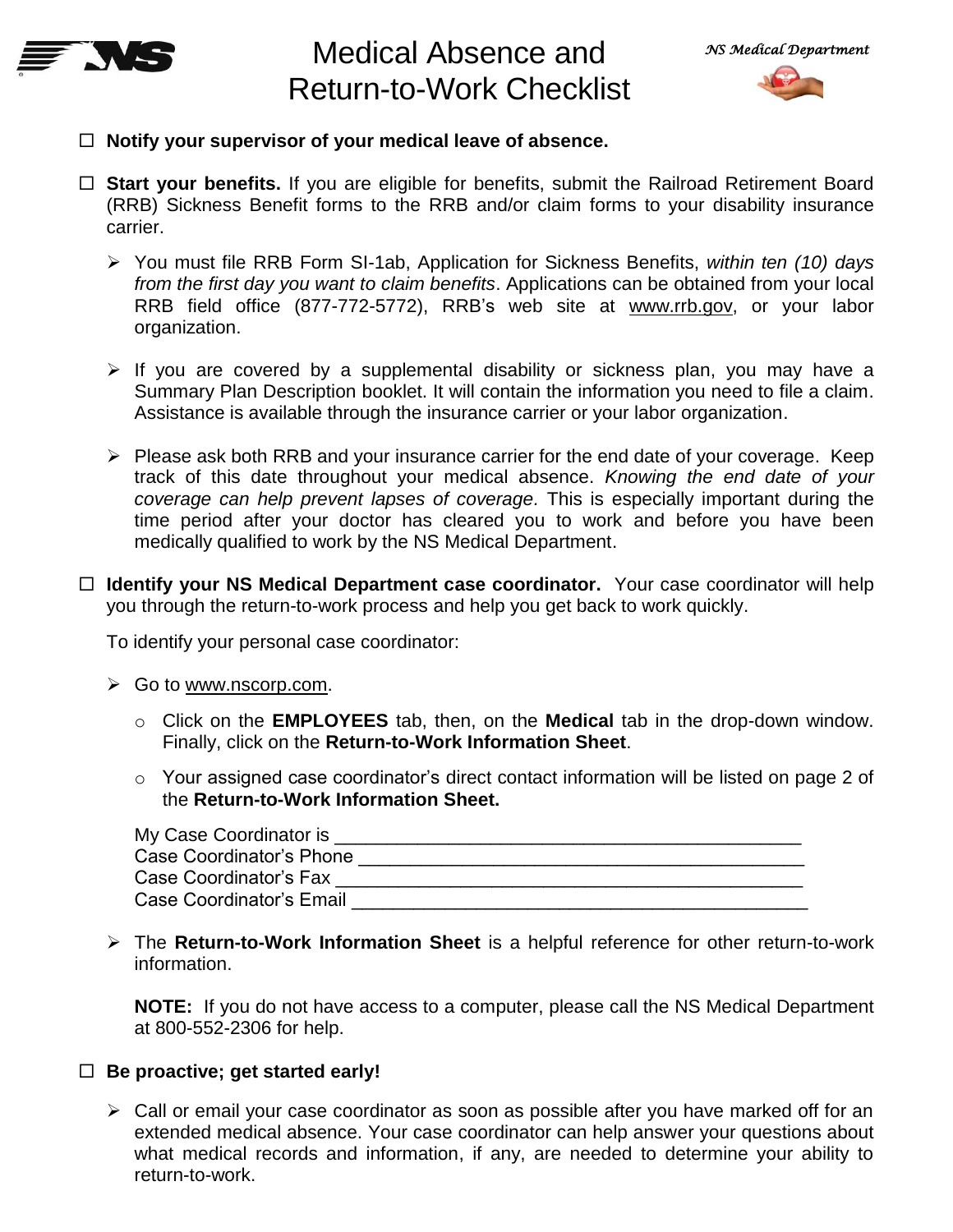

# Medical Absence and Return-to-Work Checklist



- **Notify your supervisor of your medical leave of absence.**
- □ Start your benefits. If you are eligible for benefits, submit the Railroad Retirement Board (RRB) Sickness Benefit forms to the RRB and/or claim forms to your disability insurance carrier.
	- You must file RRB Form SI-1ab, Application for Sickness Benefits, *within ten (10) days from the first day you want to claim benefits*. Applications can be obtained from your local RRB field office (877-772-5772), RRB's web site at [www.rrb.gov,](http://www.rrb.gov/) or your labor organization.
	- $\triangleright$  If you are covered by a supplemental disability or sickness plan, you may have a Summary Plan Description booklet. It will contain the information you need to file a claim. Assistance is available through the insurance carrier or your labor organization.
	- $\triangleright$  Please ask both RRB and your insurance carrier for the end date of your coverage. Keep track of this date throughout your medical absence. *Knowing the end date of your coverage can help prevent lapses of coverage.* This is especially important during the time period after your doctor has cleared you to work and before you have been medically qualified to work by the NS Medical Department.
- □ **Identify your NS Medical Department case coordinator.** Your case coordinator will help you through the return-to-work process and help you get back to work quickly.

To identify your personal case coordinator:

- $\triangleright$  Go to [www.nscorp.com.](http://www.nscorp.com/)
	- o Click on the **EMPLOYEES** tab, then, on the **Medical** tab in the drop-down window. Finally, click on the **Return-to-Work Information Sheet**.
	- o Your assigned case coordinator's direct contact information will be listed on page 2 of the **Return-to-Work Information Sheet.**

| My Case Coordinator is   |  |
|--------------------------|--|
| Case Coordinator's Phone |  |
| Case Coordinator's Fax   |  |
| Case Coordinator's Email |  |

 The **Return-to-Work Information Sheet** is a helpful reference for other return-to-work information.

**NOTE:** If you do not have access to a computer, please call the NS Medical Department at 800-552-2306 for help.

# **Be proactive; get started early!**

 $\triangleright$  Call or email your case coordinator as soon as possible after you have marked off for an extended medical absence. Your case coordinator can help answer your questions about what medical records and information, if any, are needed to determine your ability to return-to-work.